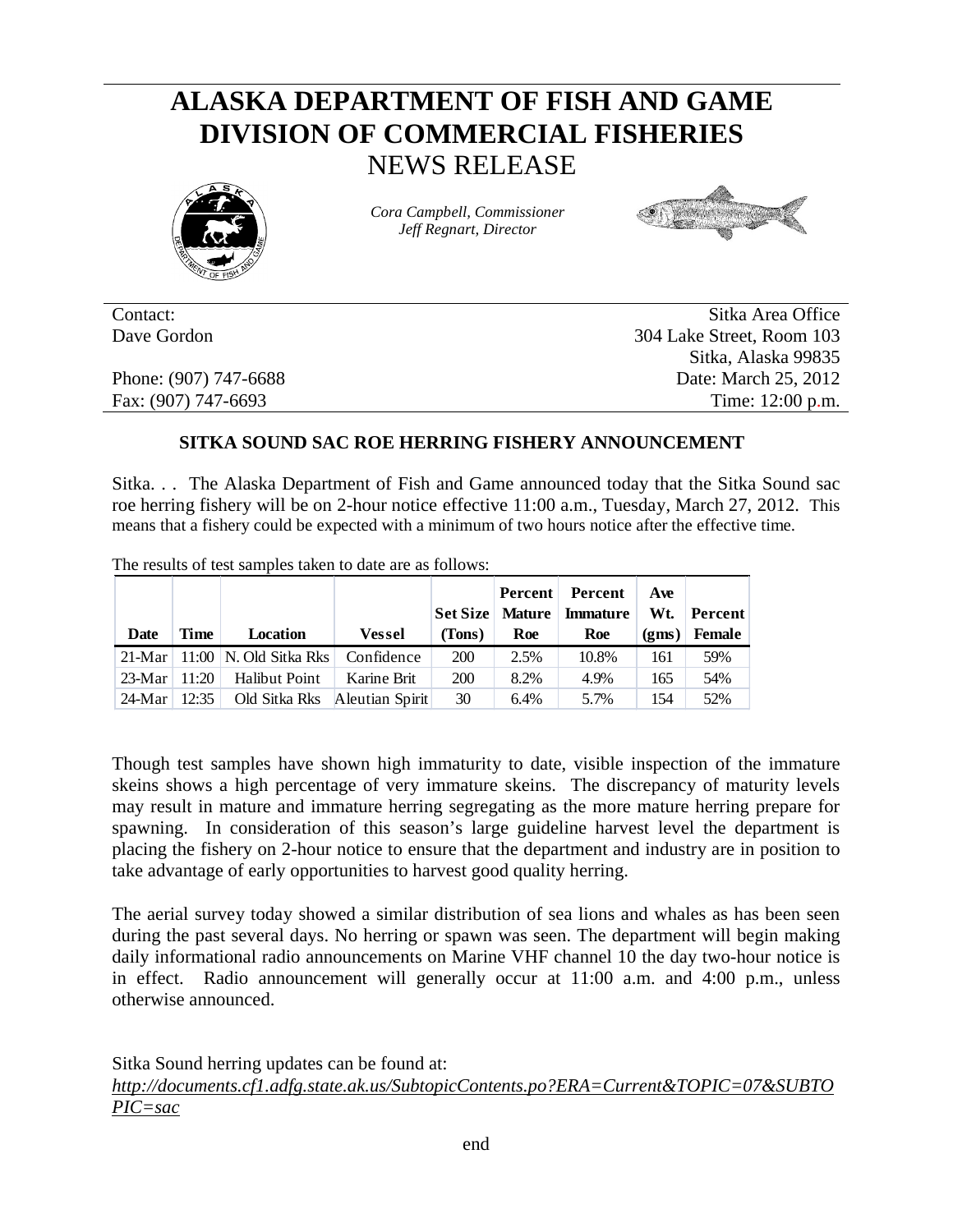## **ALASKA DEPARTMENT OF FISH AND GAME DIVISION OF COMMERCIAL FISHERIES** NEWS RELEASE



*Cora Campbell, Commissioner Jeff Regnart, Director*



Contact: Sitka Area Office Dave Gordon 304 Lake Street, Room 103 Sitka, Alaska 99835 Phone: (907) 747-6688 Date: March 25, 2012 Fax: (907) 747-6693 Time: 12:00 p.m.

## **SITKA SOUND SAC ROE HERRING FISHERY ANNOUNCEMENT**

Sitka. . . The Alaska Department of Fish and Game announced today that the Sitka Sound sac roe herring fishery will be on 2-hour notice effective 11:00 a.m., Tuesday, March 27, 2012. This means that a fishery could be expected with a minimum of two hours notice after the effective time.

The results of test samples taken to date are as follows:

|                   |      |                                                |               |            |      | <b>Percent</b> Percent                       | Ave |                |
|-------------------|------|------------------------------------------------|---------------|------------|------|----------------------------------------------|-----|----------------|
|                   |      |                                                |               |            |      | Set Size   Mature   Immature   Wt.   Percent |     |                |
| Date              | Time | Location                                       | <b>Vessel</b> | (Tons)     | Roe  | Roe                                          |     | $(gms)$ Female |
|                   |      | 21-Mar   11:00   N. Old Sitka Rks   Confidence |               | <b>200</b> | 2.5% | 10.8%                                        | 161 | 59%            |
| 23-Mar   11:20    |      | Halibut Point                                  | Karine Brit   | <b>200</b> | 8.2% | 4.9%                                         | 165 | 54%            |
| $24$ -Mar   12:35 |      | Old Sitka Rks Aleutian Spirit                  |               | 30         | 6.4% | 5.7%                                         | 154 | 52%            |

Though test samples have shown high immaturity to date, visible inspection of the immature skeins shows a high percentage of very immature skeins. The discrepancy of maturity levels may result in mature and immature herring segregating as the more mature herring prepare for spawning. In consideration of this season's large guideline harvest level the department is placing the fishery on 2-hour notice to ensure that the department and industry are in position to take advantage of early opportunities to harvest good quality herring.

The aerial survey today showed a similar distribution of sea lions and whales as has been seen during the past several days. No herring or spawn was seen. The department will begin making daily informational radio announcements on Marine VHF channel 10 the day two-hour notice is in effect. Radio announcement will generally occur at 11:00 a.m. and 4:00 p.m., unless otherwise announced.

Sitka Sound herring updates can be found at: *http://documents.cf1.adfg.state.ak.us/SubtopicContents.po?ERA=Current&TOPIC=07&SUBTO PIC=sac*